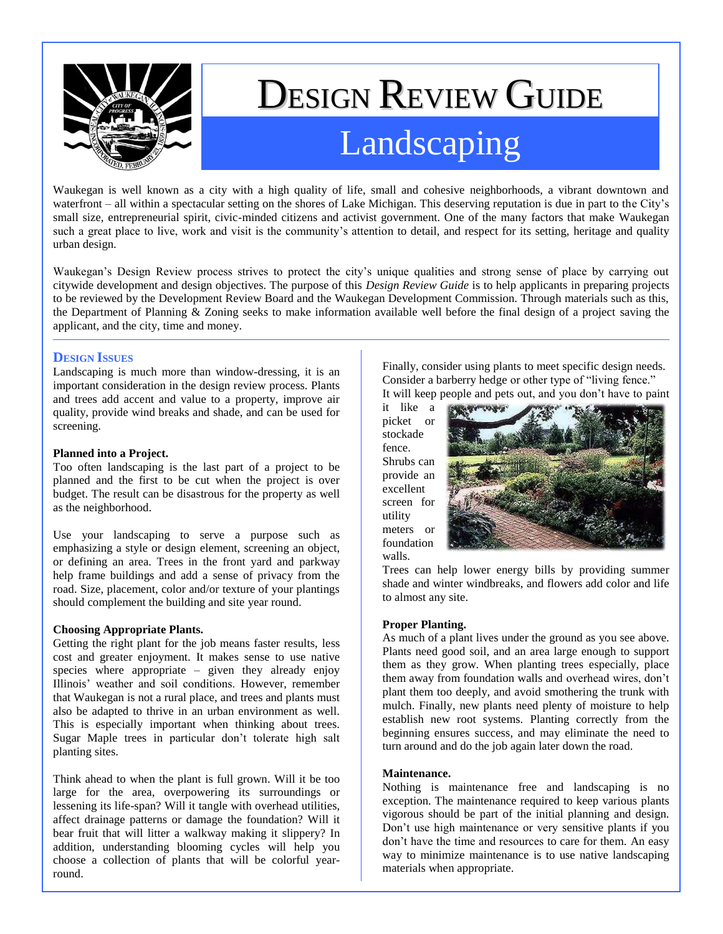

# DESIGN REVIEW GUIDE Landscaping

Waukegan is well known as a city with a high quality of life, small and cohesive neighborhoods, a vibrant downtown and waterfront – all within a spectacular setting on the shores of Lake Michigan. This deserving reputation is due in part to the City's small size, entrepreneurial spirit, civic-minded citizens and activist government. One of the many factors that make Waukegan such a great place to live, work and visit is the community's attention to detail, and respect for its setting, heritage and quality urban design.

Waukegan's Design Review process strives to protect the city's unique qualities and strong sense of place by carrying out citywide development and design objectives. The purpose of this *Design Review Guide* is to help applicants in preparing projects to be reviewed by the Development Review Board and the Waukegan Development Commission. Through materials such as this, the Department of Planning & Zoning seeks to make information available well before the final design of a project saving the applicant, and the city, time and money.

## **DESIGN ISSUES**

Landscaping is much more than window-dressing, it is an important consideration in the design review process. Plants and trees add accent and value to a property, improve air quality, provide wind breaks and shade, and can be used for screening.

#### **Planned into a Project.**

Too often landscaping is the last part of a project to be planned and the first to be cut when the project is over budget. The result can be disastrous for the property as well as the neighborhood.

Use your landscaping to serve a purpose such as emphasizing a style or design element, screening an object, or defining an area. Trees in the front yard and parkway help frame buildings and add a sense of privacy from the road. Size, placement, color and/or texture of your plantings should complement the building and site year round.

### **Choosing Appropriate Plants.**

Getting the right plant for the job means faster results, less cost and greater enjoyment. It makes sense to use native species where appropriate – given they already enjoy Illinois' weather and soil conditions. However, remember that Waukegan is not a rural place, and trees and plants must also be adapted to thrive in an urban environment as well. This is especially important when thinking about trees. Sugar Maple trees in particular don't tolerate high salt planting sites.

Think ahead to when the plant is full grown. Will it be too large for the area, overpowering its surroundings or lessening its life-span? Will it tangle with overhead utilities, affect drainage patterns or damage the foundation? Will it bear fruit that will litter a walkway making it slippery? In addition, understanding blooming cycles will help you choose a collection of plants that will be colorful yearround.

Finally, consider using plants to meet specific design needs. Consider a barberry hedge or other type of "living fence." It will keep people and pets out, and you don't have to paint

it like a picket or stockade fence. Shrubs can provide an excellent screen for utility meters or foundation walls.



Trees can help lower energy bills by providing summer shade and winter windbreaks, and flowers add color and life to almost any site.

### **Proper Planting.**

As much of a plant lives under the ground as you see above. Plants need good soil, and an area large enough to support them as they grow. When planting trees especially, place them away from foundation walls and overhead wires, don't plant them too deeply, and avoid smothering the trunk with mulch. Finally, new plants need plenty of moisture to help establish new root systems. Planting correctly from the beginning ensures success, and may eliminate the need to turn around and do the job again later down the road.

#### **Maintenance.**

Nothing is maintenance free and landscaping is no exception. The maintenance required to keep various plants vigorous should be part of the initial planning and design. Don't use high maintenance or very sensitive plants if you don't have the time and resources to care for them. An easy way to minimize maintenance is to use native landscaping materials when appropriate.